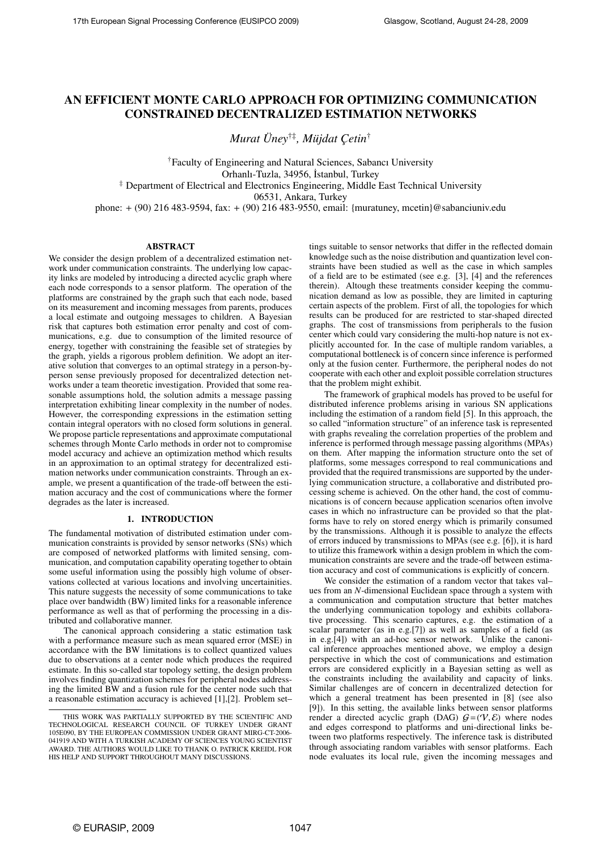# AN EFFICIENT MONTE CARLO APPROACH FOR OPTIMIZING COMMUNICATION CONSTRAINED DECENTRALIZED ESTIMATION NETWORKS

Murat Ünev<sup>†‡</sup>, Müjdat Cetin<sup>†</sup>

†Faculty of Engineering and Natural Sciences, Sabancı University Orhanlı-Tuzla, 34956, İstanbul, Turkey

‡ Department of Electrical and Electronics Engineering, Middle East Technical University

06531, Ankara, Turkey

phone: + (90) 216 483-9594, fax: + (90) 216 483-9550, email: {muratuney, mcetin}@sabanciuniv.edu

# ABSTRACT

We consider the design problem of a decentralized estimation network under communication constraints. The underlying low capacity links are modeled by introducing a directed acyclic graph where each node corresponds to a sensor platform. The operation of the platforms are constrained by the graph such that each node, based on its measurement and incoming messages from parents, produces a local estimate and outgoing messages to children. A Bayesian risk that captures both estimation error penalty and cost of communications, e.g. due to consumption of the limited resource of energy, together with constraining the feasible set of strategies by the graph, yields a rigorous problem definition. We adopt an iterative solution that converges to an optimal strategy in a person-byperson sense previously proposed for decentralized detection networks under a team theoretic investigation. Provided that some reasonable assumptions hold, the solution admits a message passing interpretation exhibiting linear complexity in the number of nodes. However, the corresponding expressions in the estimation setting contain integral operators with no closed form solutions in general. We propose particle representations and approximate computational schemes through Monte Carlo methods in order not to compromise model accuracy and achieve an optimization method which results in an approximation to an optimal strategy for decentralized estimation networks under communication constraints. Through an example, we present a quantification of the trade-off between the estimation accuracy and the cost of communications where the former degrades as the later is increased.

# 1. INTRODUCTION

The fundamental motivation of distributed estimation under communication constraints is provided by sensor networks (SNs) which are composed of networked platforms with limited sensing, communication, and computation capability operating together to obtain some useful information using the possibly high volume of observations collected at various locations and involving uncertainities. This nature suggests the necessity of some communications to take place over bandwidth (BW) limited links for a reasonable inference performance as well as that of performing the processing in a distributed and collaborative manner.

The canonical approach considering a static estimation task with a performance measure such as mean squared error (MSE) in accordance with the BW limitations is to collect quantized values due to observations at a center node which produces the required estimate. In this so-called star topology setting, the design problem involves finding quantization schemes for peripheral nodes addressing the limited BW and a fusion rule for the center node such that a reasonable estimation accuracy is achieved [1],[2]. Problem set–

tings suitable to sensor networks that differ in the reflected domain knowledge such as the noise distribution and quantization level constraints have been studied as well as the case in which samples of a field are to be estimated (see e.g. [3], [4] and the references therein). Altough these treatments consider keeping the communication demand as low as possible, they are limited in capturing certain aspects of the problem. First of all, the topologies for which results can be produced for are restricted to star-shaped directed graphs. The cost of transmissions from peripherals to the fusion center which could vary considering the multi-hop nature is not explicitly accounted for. In the case of multiple random variables, a computational bottleneck is of concern since inference is performed only at the fusion center. Furthermore, the peripheral nodes do not cooperate with each other and exploit possible correlation structures that the problem might exhibit.

The framework of graphical models has proved to be useful for distributed inference problems arising in various SN applications including the estimation of a random field [5]. In this approach, the so called "information structure" of an inference task is represented with graphs revealing the correlation properties of the problem and inference is performed through message passing algorithms (MPAs) on them. After mapping the information structure onto the set of platforms, some messages correspond to real communications and provided that the required transmissions are supported by the underlying communication structure, a collaborative and distributed processing scheme is achieved. On the other hand, the cost of communications is of concern because application scenarios often involve cases in which no infrastructure can be provided so that the platforms have to rely on stored energy which is primarily consumed by the transmissions. Although it is possible to analyze the effects of errors induced by transmissions to MPAs (see e.g. [6]), it is hard to utilize this framework within a design problem in which the communication constraints are severe and the trade-off between estimation accuracy and cost of communications is explicitly of concern.

We consider the estimation of a random vector that takes val– ues from an N-dimensional Euclidean space through a system with a communication and computation structure that better matches the underlying communication topology and exhibits collaborative processing. This scenario captures, e.g. the estimation of a scalar parameter (as in e.g.[7]) as well as samples of a field (as in e.g.[4]) with an ad-hoc sensor network. Unlike the canonical inference approaches mentioned above, we employ a design perspective in which the cost of communications and estimation errors are considered explicitly in a Bayesian setting as well as the constraints including the availability and capacity of links. Similar challenges are of concern in decentralized detection for which a general treatment has been presented in [8] (see also [9]). In this setting, the available links between sensor platforms render a directed acyclic graph (DAG)  $G=(V, \mathcal{E})$  where nodes and edges correspond to platforms and uni-directional links between two platforms respectively. The inference task is distributed through associating random variables with sensor platforms. Each node evaluates its local rule, given the incoming messages and

THIS WORK WAS PARTIALLY SUPPORTED BY THE SCIENTIFIC AND TECHNOLOGICAL RESEARCH COUNCIL OF TURKEY UNDER GRANT 105E090, BY THE EUROPEAN COMMISSION UNDER GRANT MIRG-CT-2006- 041919 AND WITH A TURKISH ACADEMY OF SCIENCES YOUNG SCIENTIST AWARD. THE AUTHORS WOULD LIKE TO THANK O. PATRICK KREIDL FOR HIS HELP AND SUPPORT THROUGHOUT MANY DISCUSSIONS.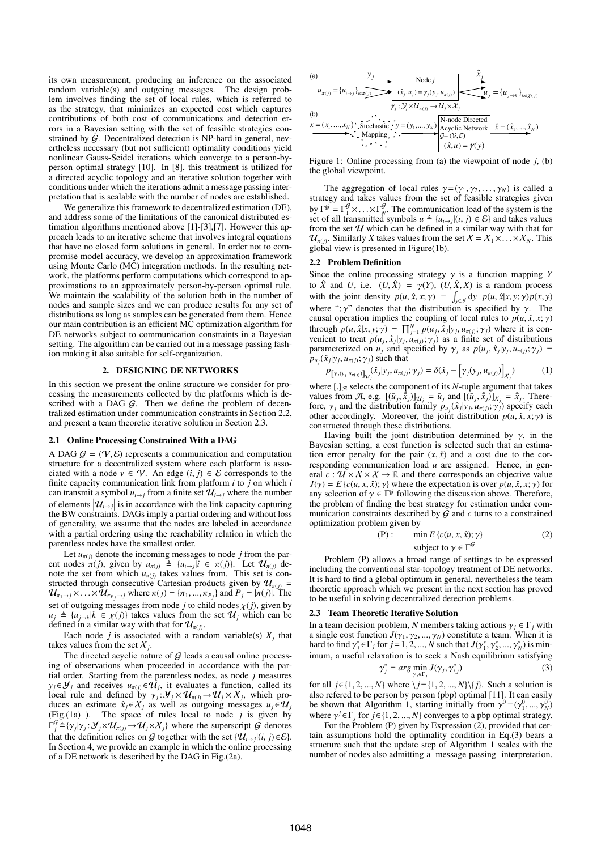its own measurement, producing an inference on the associated random variable(s) and outgoing messages. The design problem involves finding the set of local rules, which is referred to as the strategy, that minimizes an expected cost which captures contributions of both cost of communications and detection errors in a Bayesian setting with the set of feasible strategies constrained by  $\hat{G}$ . Decentralized detection is NP-hard in general, nevertheless necessary (but not sufficient) optimality conditions yield nonlinear Gauss-Seidel iterations which converge to a person-byperson optimal strategy [10]. In [8], this treatment is utilized for a directed acyclic topology and an iterative solution together with conditions under which the iterations admit a message passing interpretation that is scalable with the number of nodes are established.

We generalize this framework to decentralized estimation (DE) and address some of the limitations of the canonical distributed estimation algorithms mentioned above [1]-[3],[7]. However this approach leads to an iterative scheme that involves integral equations that have no closed form solutions in general. In order not to compromise model accuracy, we develop an approximation framework using Monte Carlo (MC) integration methods. In the resulting network, the platforms perform computations which correspond to approximations to an approximately person-by-person optimal rule. We maintain the scalability of the solution both in the number of nodes and sample sizes and we can produce results for any set of distributions as long as samples can be generated from them. Hence our main contribution is an efficient MC optimization algorithm for DE networks subject to communication constraints in a Bayesian setting. The algorithm can be carried out in a message passing fashion making it also suitable for self-organization.

## 2. DESIGNING DE NETWORKS

In this section we present the online structure we consider for processing the measurements collected by the platforms which is described with a DAG  $G$ . Then we define the problem of decentralized estimation under communication constraints in Section 2.2, and present a team theoretic iterative solution in Section 2.3.

#### 2.1 Online Processing Constrained With a DAG

A DAG  $G = (V, \mathcal{E})$  represents a communication and computation structure for a decentralized system where each platform is associated with a node  $v \in \mathcal{V}$ . An edge  $(i, j) \in \mathcal{E}$  corresponds to the finite capacity communication link from platform  $i$  to  $j$  on which  $i$ can transmit a symbol  $u_{i\rightarrow j}$  from a finite set  $\mathcal{U}_{i\rightarrow j}$  where the number of elements  $|\mathcal{U}_{i\rightarrow j}|$  is in accordance with the link capacity capturing<br>the BW constraints. DAGs imply a partial ordering and without loss the BW constraints. DAGs imply a partial ordering and without loss of generality, we assume that the nodes are labeled in accordance with a partial ordering using the reachability relation in which the parentless nodes have the smallest order.

Let  $u_{\pi(i)}$  denote the incoming messages to node j from the parent nodes  $\pi(j)$ , given by  $u_{\pi(j)} \triangleq \{u_{i\to j} | i \in \pi(j)\}\)$ . Let  $\mathcal{U}_{\pi(j)}$  denote the set from which  $u_{\pi(j)}$  takes values from. This set is constructed through consecutive Cartesian products given by  $u_{\pi(j)}$  =  $\mathcal{U}_{\pi_1\to j}\times\ldots\times\mathcal{U}_{\pi_{P_j}\to j}$  where  $\pi(j) = {\pi_1,...,\pi_{P_j}}$  and  $P_j = {\pi(j)}$ . The set of outgoing messages from node j to child nodes  $\chi(j)$ , given by  $u_j \triangleq \{u_{j\rightarrow k} | k \in \chi(j)\}\$  takes values from the set  $\mathcal{U}_j$  which can be defined in a similar way with that for  $\mathcal{U}_{\pi(j)}$ .

Each node *j* is associated with a random variable(s)  $X_j$  that takes values from the set  $X_j$ .

The directed acyclic nature of  $G$  leads a causal online processing of observations when proceeded in accordance with the partial order. Starting from the parentless nodes, as node  $j$  measures  $y_j \in \mathcal{Y}_j$  and receives  $u_{\pi(j)} \in \mathcal{U}_j$ , it evaluates a function, called its local rule and defined by  $\gamma_j : \mathcal{Y}_j \times \mathcal{U}_{\pi(j)} \to \mathcal{U}_j \times \mathcal{X}_j$ , which produces an estimate  $\hat{x}_i \in X_i$  as well as outgoing messages  $u_i \in U_i$ (Fig.(1a) ). The space of rules local to node  $j$  is given by  $\Gamma_j^{\mathcal{G}} \triangleq {\{\gamma_j | \gamma_j : \mathcal{Y}_j \times \mathcal{U}_{\pi(j)} \to \mathcal{U}_j \times \mathcal{X}_j \}}$  where the superscript  $\mathcal{G}$  denotes that the definition relies on G together with the set  $\{\mathcal{U}_{i\rightarrow j}|(i,j)\in\mathcal{E}\}\.$ In Section 4, we provide an example in which the online processing of a DE network is described by the DAG in Fig.(2a).



Figure 1: Online processing from (a) the viewpoint of node  $j$ , (b) the global viewpoint.

The aggregation of local rules  $\gamma = (\gamma_1, \gamma_2, \dots, \gamma_N)$  is called a strategy and takes values from the set of feasible strategies given by  $\Gamma^{\mathcal{G}} = \Gamma^{\mathcal{G}}_1 \times \ldots \times \Gamma^{\mathcal{G}}_N$ . The communication load of the system is the set of all transmitted symbols  $u \triangleq \{u_{i\rightarrow j} | (i, j) \in \mathcal{E} \}$  and takes values from the set  $U$  which can be defined in a similar way with that for  $\mathcal{U}_{\pi(j)}$ . Similarly X takes values from the set  $\mathcal{X} = \mathcal{X}_1 \times \ldots \times \mathcal{X}_N$ . This global view is presented in Figure(1b).

### 2.2 Problem Definition

Since the online processing strategy  $\gamma$  is a function mapping Y to  $\hat{X}$  and U, i.e.  $(U, \hat{X}) = \gamma(Y)$ ,  $(U, \hat{X}, X)$  is a random process with the joint density  $p(u, \hat{x}, x; \gamma) = \int_{y \in \mathcal{Y}} dy p(u, \hat{x}|x, y; \gamma)p(x, y)$ where ";  $\gamma$ " denotes that the distribution is specified by  $\gamma$ . The causal operation implies the coupling of local rules to  $p(u, \hat{x}, x; \gamma)$ through  $p(u, \hat{x}|x, y; \gamma) = \prod_{j=1}^{N} p(u_j, \hat{x}_j | y_j, u_{\pi(j)}; \gamma_j)$  where it is convenient to treat  $p(u_j, \hat{x}_j | y_j, u_{\pi(j)}; \gamma_j)$  as a finite set of distributions parameterized on  $u_j$  and specified by  $\gamma_j$  as  $p(u_j, \hat{x}_j | y_j, u_{\pi(j)}; \gamma_j) =$  $p_{u_j}(\hat{x}_j | y_j, u_{\pi(j)}; \gamma_j)$  such that

$$
P[y_j(y_j, u_{\pi(j)})]_{\mathcal{U}_j}(\hat{x}_j|y_j, u_{\pi(j)}; \gamma_j) = \delta(\hat{x}_j - \left[\gamma_j(y_j, u_{\pi(j)})\right]_{X_j})\tag{1}
$$

where  $[.]_{\mathcal{A}}$  selects the component of its N-tuple argument that takes values from A, e.g.  $[(\bar{u}_j, \hat{\bar{x}}_j)]_{\mathcal{U}_j} = \bar{u}_j$  and  $[(\bar{u}_j, \hat{\bar{x}}_j)]_{X_j} = \hat{x}_j$ . Therefore,  $\gamma_j$  and the distribution family  $p_{u_j}(\hat{x}_j|y_j, u_{\pi(j)}; \gamma_j)$  specify each other accordingly. Moreover, the joint distribution  $p(u, \hat{x}, x; \gamma)$  is constructed through these distributions.

Having built the joint distribution determined by  $\gamma$ , in the Bayesian setting, a cost function is selected such that an estimation error penalty for the pair  $(x, \hat{x})$  and a cost due to the corresponding communication load  $u$  are assigned. Hence, in general  $c : \mathcal{U} \times \mathcal{X} \times \mathcal{X} \rightarrow \mathbb{R}$  and there corresponds an objective value  $J(\gamma) = E\{c(u, x, \hat{x}); \gamma\}$  where the expectation is over  $p(u, \hat{x}, x; \gamma)$  for any selection of  $\gamma \in \Gamma^{\mathcal{G}}$  following the discussion above. Therefore, the problem of finding the best strategy for estimation under communication constraints described by  $\overline{G}$  and c turns to a constrained optimization problem given by

(P): 
$$
\min E \{c(u, x, \hat{x}); \gamma\}
$$
 (2)  
subject to  $\gamma \in \Gamma^{\mathcal{G}}$ 

Problem (P) allows a broad range of settings to be expressed including the conventional star-topology treatment of DE networks. It is hard to find a global optimum in general, nevertheless the team theoretic approach which we present in the next section has proved to be useful in solving decentralized detection problems.

#### 2.3 Team Theoretic Iterative Solution

In a team decision problem, N members taking actions  $\gamma_i \in \Gamma_i$  with a single cost function  $J(\gamma_1, \gamma_2, ..., \gamma_N)$  constitute a team. When it is hard to find  $\gamma_j^* \in \Gamma_j$  for  $j = 1, 2, ..., N$  such that  $J(\gamma_1^*, \gamma_2^*, ..., \gamma_N^*)$  is minimum, a useful relaxation is to seek a Nash equilibrium satisfying ∗

$$
\gamma_j^* = \arg\min_{\gamma_j \in \Gamma_j} J(\gamma_j, \gamma_{\backslash j}^*)
$$
\n(3)

for all  $j \in \{1, 2, ..., N\}$  where  $\{j = \{1, 2, ..., N\}\{j\}$ . Such a solution is also refered to be person by person (pbp) optimal [11]. It can easily be shown that Algorithm 1, starting initially from  $\gamma^0 = (\gamma_1^0, ..., \gamma_N^0)$ where  $\gamma^{j} \in \Gamma_{j}$  for  $j \in \{1, 2, ..., N\}$  converges to a pbp optimal strategy.

For the Problem (P) given by Expression (2), provided that certain assumptions hold the optimality condition in Eq.(3) bears a structure such that the update step of Algorithm 1 scales with the number of nodes also admitting a message passing interpretation.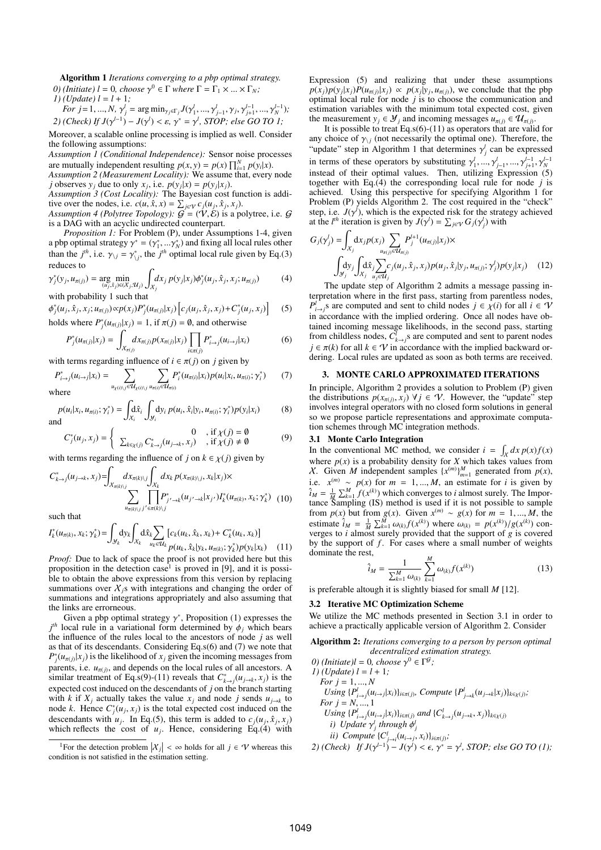Algorithm 1 Iterations converging to a pbp optimal strategy. *O*) (*Initiate*)  $l = 0$ , *choose*  $\gamma^0 \in \Gamma$  *where*  $\Gamma = \Gamma_1 \times ... \times \Gamma_N$ ; 1) (*Update*)  $l = l + 1$ ;

For 
$$
j = 1, ..., N
$$
,  $\gamma_j^j = \arg \min_{\gamma_j \in \Gamma_j} J(\gamma_1^j, ..., \gamma_{j-1}^j, \gamma_j, \gamma_{j+1}^{j-1}, ..., \gamma_N^{j-1});$   
2) (Check) If  $J(\gamma^{j-1}) - J(\gamma^j) < \varepsilon$ ,  $\gamma^* = \gamma^j$ , STOP; else GO TO 1;

Moreover, a scalable online processing is implied as well. Consider the following assumptions:

Assumption 1 (Conditional Independence): Sensor noise processes are mutually independent resulting  $p(x, y) = p(x) \prod_{i=1}^{N} p(y_i|x)$ .

Assumption 2 (Measurement Locality): We assume that, every node j observes  $y_j$  due to only  $x_j$ , i.e.  $p(y_j|x) = p(y_j|x_j)$ .

Assumption 3 (Cost Locality): The Bayesian cost function is additive over the nodes, i.e.  $c(u, \hat{x}, x) = \sum_{j \in V} c_j(u_j, \hat{x}_j, x_j)$ .<br>Assumption 4 (Polytree Topology):  $G = (\mathbf{V}, \mathbf{E})$  is a polytree, i.e.  $G$ 

is a DAG with an acyclic undirected counterpart.

Proposition 1: For Problem (P), under Assumptions 1-4, given a pbp optimal strategy  $\gamma^* = (\gamma_1^*,... \gamma_N^*)$  and fixing all local rules other than the  $j<sup>th</sup>$ , i.e.  $\gamma_{\backslash j} = \gamma_{\backslash j}^*$ , the  $j<sup>th</sup>$  optimal local rule given by Eq.(3) reduces to

$$
\gamma_j^*(y_j, u_{\pi(j)}) = \underset{(u_j, \hat{x}_j) \in (X_j, u_j)}{\arg \min} \int_{X_j} dx_j \, p(y_j | x_j) \phi_j^*(u_j, \hat{x}_j, x_j; u_{\pi(j)}) \tag{4}
$$

with probability 1 such that

$$
\phi_j^*(u_j, \hat{x}_j, x_j; u_{\pi(j)}) \propto p(x_j) P_j^*(u_{\pi(j)} | x_j) \left[ c_j(u_j, \hat{x}_j, x_j) + C_j^*(u_j, x_j) \right] \tag{5}
$$
  
holds where  $P^*(u_{\pi(j)}) = 1$  if  $\pi(j) = \emptyset$  and otherwise

holds where  $P_j^*(u_{\pi(j)}|x_j) = 1$ , if  $\pi(j) = \emptyset$ , and otherwise

$$
P_j^*(u_{\pi(j)}|x_j) = \int_{X_{\pi(j)}} dx_{\pi(j)} p(x_{\pi(j)}|x_j) \prod_{i \in \pi(j)} P_{i \to j}^*(u_{i \to j}|x_i)
$$
(6)

with terms regarding influence of  $i \in \pi(j)$  on j given by

$$
P_{i\to j}^*(u_{i\to j}|x_i) = \sum_{u_{\chi(i)\backslash j}\in \mathcal{U}_{\chi(i)\backslash j}} \sum_{u_{\pi(i)}\in \mathcal{U}_{\pi(i)}} P_i^*(u_{\pi(i)}|x_i) p(u_i|x_i, u_{\pi(i)}; \gamma_i^*) \qquad (7)
$$

where

$$
p(u_i|x_i, u_{\pi(i)}; \gamma_i^*) = \int_{X_i} d\hat{x}_i \int_{y_i} dy_i \, p(u_i, \hat{x}_i|y_i, u_{\pi(i)}; \gamma_i^*) p(y_i|x_i)
$$
(8)

$$
C_j^*(u_j, x_j) = \begin{cases} 0 & \text{, if } \chi(j) = \emptyset \\ \sum_{k \in \chi(j)} C_{k \to j}^*(u_{j \to k}, x_j) & \text{, if } \chi(j) \neq \emptyset \end{cases}
$$
(9)

with terms regarding the influence of j on  $k \in \chi(j)$  given by

$$
C_{k\to j}^*(u_{j\to k}, x_j) = \int_{X_{\pi(k)\setminus j}} dx_{\pi(k)\setminus j} \int_{X_k} dx_k p(x_{\pi(k)\setminus j}, x_k | x_j) \times \sum_{u_{\pi(k)\setminus j}} \prod_{\ell \in \pi(k)\setminus j} p_{j'\to k}^*(u_{j'\to k} | x_{j'}) I_k^*(u_{\pi(k)}, x_k; \gamma_k^*) \tag{10}
$$

such that

$$
I_{k}^{*}(u_{\pi(k)}, x_{k}; \gamma_{k}^{*}) = \int_{\mathcal{Y}_{k}} d y_{k} \int_{\mathcal{X}_{k}} d \hat{x}_{k} \sum_{u_{k} \in \mathcal{U}_{k}} [c_{k}(u_{k}, \hat{x}_{k}, x_{k}) + C_{k}^{*}(u_{k}, x_{k})] \n\int_{\mathcal{Y}_{k}} d \hat{x}_{k} \sum_{u_{k} \in \mathcal{U}_{k}} [c_{k}(u_{k}, \hat{x}_{k}|y_{k}, u_{\pi(k)}; \gamma_{k}) p(y_{k}|x_{k}) \n\tag{11}
$$

Proof: Due to lack of space the proof is not provided here but this proposition in the detection case<sup>1</sup> is proved in [9], and it is possible to obtain the above expressions from this version by replacing summations over  $X_j$ s with integrations and changing the order of summations and integrations appropriately and also assuming that the links are errorneous.

Given a pbp optimal strategy  $\gamma^*$ , Proposition (1) expresses the  $j<sup>th</sup>$  local rule in a variational form determined by  $\phi_j$  which bears the influence of the rules local to the ancestors of node  $j$  as well as that of its descendants. Considering Eq.s(6) and (7) we note that  $P_j^*(u_{\pi(j)}|x_j)$  is the likelihood of  $x_j$  given the incoming messages from parents, i.e.  $u_{\pi(j)}$ , and depends on the local rules of all ancestors. A similar treatment of Eq.s(9)-(11) reveals that  $C^*_{k\to j}(u_{j\to k}, x_j)$  is the expected cost induced on the descendants of j on the branch starting with k if  $X_j$  actually takes the value  $x_j$  and node j sends  $u_{j\rightarrow k}$  to node k. Hence  $C_j^*(u_j, x_j)$  is the total expected cost induced on the descendants with  $u_j$ . In Eq.(5), this term is added to  $c_j(u_j, \hat{x}_j, x_j)$ which reflects the cost of  $u_j$ . Hence, considering Eq.(4) with

Expression (5) and realizing that under these assumptions  $p(x_j)p(y_j|x_j)P(u_{\pi(j)}|x_j) \propto p(x_j|y_j, u_{\pi(j)})$ , we conclude that the pbp optimal local rule for node  $j$  is to choose the communication and estimation variables with the minimum total expected cost, given the measurement  $y_j \in \mathcal{Y}_j$  and incoming messages  $u_{\pi(j)} \in \mathcal{U}_{\pi(j)}$ .

It is possible to treat Eq.s(6)-(11) as operators that are valid for any choice of  $\gamma_{\text{V}}$  (not necessarily the optimal one). Therefore, the "update" step in Algorithm 1 that determines  $\gamma_j^l$  can be expressed in terms of these operators by substituting  $\gamma_1^l, ..., \gamma_{j-1}^l, ..., \gamma_{j+1}^{l-1}, \gamma_N^{l-1}$ <br>instead of their optimal values. Then, utilizing Expression (5) together with Eq.(4) the corresponding local rule for node  $j$  is achieved. Using this perspective for specifying Algorithm 1 for Problem (P) yields Algorithm 2. The cost required in the "check" step, i.e.  $J(\gamma^l)$ , which is the expected risk for the strategy achieved at the *l<sup>th</sup>* iteration is given by  $J(\gamma^l) = \sum_{j \in \mathcal{V}} G_j(\gamma^l)$  with

$$
G_j(\gamma_j^l) = \int_{\mathcal{X}_j} dx_j p(x_j) \sum_{u_{\pi(j)}} P_j^{l+1}(u_{\pi(j)} | x_j) \times
$$
  

$$
\int_{\mathcal{Y}_j} dy_j \int_{\mathcal{X}_j} d\hat{x}_j \sum_{u_j \in \mathcal{U}_j} c_j(u_j, \hat{x}_j, x_j) p(u_j, \hat{x}_j | y_j, u_{\pi(j)}; \gamma_j^l) p(y_j | x_j)
$$
 (12)

The update step of Algorithm 2 admits a message passing interpretation where in the first pass, starting from parentless nodes,  $P_{i\rightarrow j}^l$ 's are computed and sent to child nodes  $j \in \chi(i)$  for all  $i \in \mathcal{V}$ in accordance with the implied ordering. Once all nodes have obtained incoming message likelihoods, in the second pass, starting from childless nodes,  $C_{k\rightarrow j}^l$ s are computed and sent to parent nodes  $j \in \pi(k)$  for all  $k \in \mathcal{V}$  in accordance with the implied backward ordering. Local rules are updated as soon as both terms are received.

### 3. MONTE CARLO APPROXIMATED ITERATIONS

In principle, Algorithm 2 provides a solution to Problem (P) given the distributions  $p(x_{\pi(j)}, x_j)$   $\forall j \in \mathcal{V}$ . However, the "update" step involves integral operators with no closed form solutions in general so we propose particle representations and approximate computation schemes through MC integration methods.

# 3.1 Monte Carlo Integration

In the conventional MC method, we consider  $i = \int_X dx p(x) f(x)$ where  $p(x)$  is a probability density for X which takes values from X. Given M independent samples  $\{x^{(m)}\}_{m=1}^M$  generated from  $p(x)$ , i.e.  $x^{(m)} \sim p(x)$  for  $m = 1, ..., M$ , an estimate for *i* is given by  $\hat{i}_M = \frac{1}{M} \sum_{k=1}^{M} f(x^{(k)})$  which converges to *i* almost surely. The Importance Sampling (IS) method is used if it is not possible to sample from  $p(x)$  but from  $g(x)$ . Given  $x^{(m)} \sim g(x)$  for  $m = 1, ..., M$ , the estimate  $\hat{i}_M = \frac{1}{M} \sum_{k=1}^M \omega_{(k)} f(x^{(k)})$  where  $\omega_{(k)} = p(x^{(k)})/g(x^{(k)})$  converges to  $i$  almost surely provided that the support of  $g$  is covered by the support of  $f$ . For cases where a small number of weights dominate the rest,

$$
\hat{i}_M = \frac{1}{\sum_{k=1}^M \omega_{(k)}} \sum_{k=1}^M \omega_{(k)} f(x^{(k)})
$$
\n(13)

is preferable altough it is slightly biased for small  $M$  [12].

#### 3.2 Iterative MC Optimization Scheme

We utilize the MC methods presented in Section 3.1 in order to achieve a practically applicable version of Algorithm 2. Consider

Algorithm 2: Iterations converging to a person by person optimal decentralized estimation strategy.

*O*) (Initiate) $l = 0$ , choose  $\gamma^0 \in \Gamma^{\mathcal{G}}$ ; 1) (*Update*)  $l = l + 1$ ; For  $j = 1, ..., N$ Using  $\{P_{i\to j}^l(u_{i\to j}|x_i)\}_{i\in\pi(j)}$ , Compute  $\{P_{j\to k}^l(u_{j\to k}|x_j)\}_{k\in\chi(j)}$ ; *For*  $i = N, ..., 1$ Using  $\{P_{i\to j}^l(u_{i\to j}|x_i)\}_{i\in\pi(j)}$  and  $\{C_{k\to j}^l(u_{j\to k},x_j)\}_{k\in\chi(j)}$ i) Update  $\gamma^l_j$  through  $\phi^l_j$ ii) Compute  $\{C_{j\to i}^l(u_{i\to j},x_i)\}_{i\in \pi(j)}$ ;

2) (Check) If 
$$
J(\gamma^{l-1}) - J(\gamma^l) < \epsilon
$$
,  $\gamma^* = \gamma^l$ , STOP; else GO TO (1);

<sup>&</sup>lt;sup>1</sup>For the detection problem  $|\mathcal{X}_j| < \infty$  holds for all  $j \in \mathcal{V}$  whereas this dition is not satisfied in the estimation setting condition is not satisfied in the estimation setting.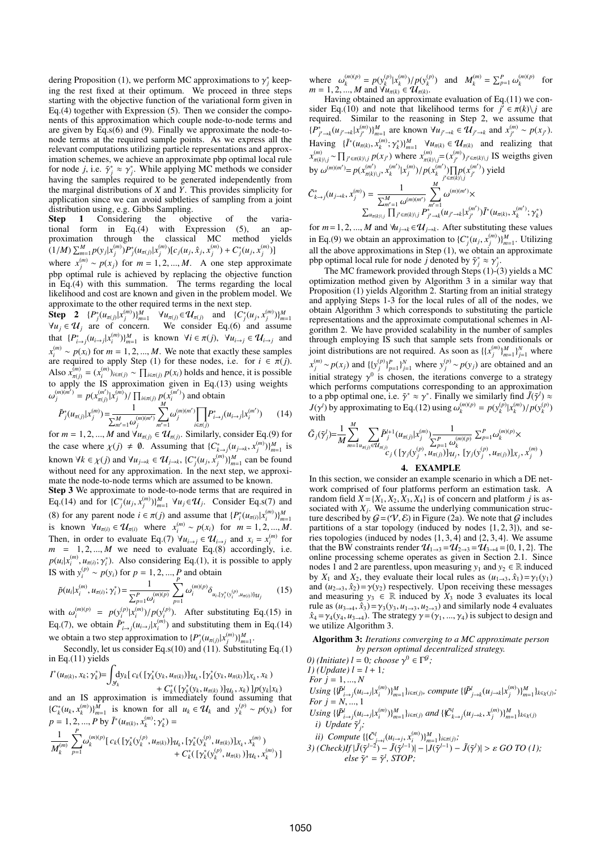dering Proposition (1), we perform MC approximations to  $\gamma_j^*$  keeping the rest fixed at their optimum. We proceed in three steps starting with the objective function of the variational form given in Eq.(4) together with Expression (5). Then we consider the components of this approximation which couple node-to-node terms and are given by  $\widehat{Eq}.s(6)$  and (9). Finally we approximate the node-tonode terms at the required sample points. As we express all the relevant computations utilizing particle representations and approximation schemes, we achieve an approximate pbp optimal local rule for node *j*, i.e.  $\tilde{\gamma}_j^* \approx \gamma_j^*$ . While applying MC methods we consider having the samples required to be generated independently from the marginal distributions of  $X$  and  $\tilde{Y}$ . This provides simplicity for application since we can avoid subtleties of sampling from a joint distribution using, e.g. Gibbs Sampling.<br> **Step 1** Considering the objective of

Step 1 Considering the objective of the variational form in Eq.(4) with Expression (5), an approximation through the classical MC method yields  $(1/M)\sum_{m=1}^{M}p(y_j|x_j^{(m)})P_j^*(u_{\pi(j)}|x_j^{(m)})[c_j(u_j,\hat{x}_j,x_j^{(m)})+C_j^*(u_j,x_j^{(m)})]$ 

where  $x_j^{(m)} \sim p(x_j)$  for  $m = 1, 2, ..., M$ . A one step approximate pbp optimal rule is achieved by replacing the objective function  $\ln$  Eq.(4) with this summation. The terms regarding the local likelihood and cost are known and given in the problem model. We approximate to the other required terms in the next step.

**Step 2**  $\{P_j^*(u_{\pi(j)}|x_j^{(m)})\}_{m=1}^M$   $\forall u_{\pi(j)} \in \mathcal{U}_{\pi(j)}$  and  $\{C_j^*(u_j, x_j^{(m)})\}_{m=1}^M$ <br> $\forall u_j \in \mathcal{U}_j$  are of concern. We consider Eq.(6) and assume that  $\{P_{i\to j}^*(u_{i\to j}|x_i^{(m)})\}_{m=1}^M$  is known  $\forall i \in \pi(j)$ ,  $\forall u_{i\to j} \in \mathcal{U}_{i\to j}$  and  $i \rightarrow j \{i \rightarrow j | \lambda_i$  $x_i^{(m)} \sim p(x_i)$  for  $m = 1, 2, ..., M$ . We note that exactly these samples are required to apply Step (1) for these nodes, i.e. for  $i \in \pi(j)$ . Also  $x_{\pi(j)}^{(m)} = (x_i^{(m)})_{i \in \pi(j)} \sim \prod_{i \in \pi(j)} p(x_i)$  holds and hence, it is possible to apply the IS approximation given in Eq.(13) using weights  $\omega_j^{(m)(m')} = p(x_{\pi(j)}^{(m')})x_j^{(m)}) / \prod_{i \in \pi(j)} p(x_i^{(m')})$  and obtain

$$
\tilde{P}_{j}^{*}(u_{\pi(j)}|x_{j}^{(m)}) = \frac{1}{\sum_{m'=1}^{M} \omega_{j}^{(m)(m')}} \sum_{m'=1}^{M} \omega_{j}^{(m)(m')} \prod_{i \in \pi(j)} P_{i \to j}^{*}(u_{i \to j}|x_{i}^{(m')}) \qquad (14)
$$

for  $m = 1, 2, ..., M$  and  $\forall u_{\pi(j)} \in \mathcal{U}_{\pi(j)}$ . Similarly, consider Eq.(9) for the case where  $\chi(j) \neq \emptyset$ . Assuming that  $\{C^*_{k \to j}(u_{j \to k}, x_j^{(m)})\}_{m=1}^M$  is known  $\forall k \in \chi(j)$  and  $\forall u_{j \to k} \in \mathcal{U}_{j \to k}$ ,  $\{C_j^*(u_j, x_j^{(m)})\}_{m=1}^M$  can be found without need for any approximation. In the next step, we approximate the node-to-node terms which are assumed to be known.

Step 3 We approximate to node-to-node terms that are required in Eq.(14) and for  $\{C_j^*(u_j, x_j^{(m)})\}_{m=1}^M$   $\forall u_j \in \mathcal{U}_j$ . Consider Eq.s(7) and (8) for any parent node  $i \in \pi(j)$  and assume that  $\{P_i^*(u_{\pi(i)} | x_i^{(m)})\}_{m=1}^M$ is known  $\forall u_{\pi(i)} \in \mathcal{U}_{\pi(i)}$  where  $x_i^{(m)} \sim p(x_i)$  for  $m = 1, 2, ..., M$ . Then, in order to evaluate Eq.(7)  $\forall u_{i \to j} \in \mathcal{U}_{i \to j}$  and  $x_i = x_i^{(m)}$  for  $m = 1, 2, ..., M$  we need to evaluate Eq.(8) accordingly, i.e.  $p(u_i|x_i^{(m)}, u_{\pi(i)}; \gamma_i^*)$ . Also considering Eq.(1), it is possible to apply IS with  $y_i^{(p)} \sim p(y_i)$  for  $p = 1, 2, ..., p$  and obtain

$$
\tilde{p}(u_i|x_i^{(m)}, u_{\pi(i)}; \gamma_i^*) = \frac{1}{\sum_{p=1}^P \omega_i^{(m)(p)}} \sum_{p=1}^P \omega_i^{(m)(p)} \delta_{u_i, [\gamma_i^*(v_i^{(p)}, u_{\pi(i)})] \gamma_i} \tag{15}
$$

with  $\omega_i^{(m)(p)} = p(y_i^{(p)}|x_i^{(m)})/p(y_i^{(p)})$ . After substituting Eq.(15) in Eq.(7), we obtain  $\tilde{P}^*_{i \to j}(u_{i \to j}|x_i^{(m)})$  and substituting them in Eq.(14) we obtain a two step approximation to  $\{P_j^*(u_{\pi(j)}|x_j^{(m)})\}_{m=1}^M$ .

Secondly, let us consider Eq.s(10) and  $(11)$ . Substituting Eq.(1) in Eq.(11) yields

$$
I^*(u_{\pi(k)}, x_k; \gamma_k^*) = \int_{\mathcal{Y}_k} dy_k [ c_k(\gamma_k^*(y_k, u_{\pi(k)})] u_k, [\gamma_k^*(y_k, u_{\pi(k)})]_{X_k}, x_k) + C_k^*(\gamma_k^*(y_k, u_{\pi(k)})] u_k, x_k) ] p(y_k | x_k)
$$

and an IS approximation is immediately found assuming that  ${C_k^*(u_k, x_k^{(m)})}_{m=1}^M$  is known for all  $u_k \in \mathcal{U}_k$  and  $y_k^{(p)} \sim p(y_k)$  for  $p = 1, 2, ..., P$  by  $\tilde{I}^*(u_{\pi(k)}, x_k^{(m)}; \gamma_k^*) =$ 

$$
\frac{1}{M_k^{(m)}}\sum_{p=1}^P \omega_k^{(m)(p)}[\ c_k(\ [\gamma_k^*(\textbf{y}_k^{(p)},u_{\pi(k)})]_{\mathcal{U}_k},[\gamma_k^*(\textbf{y}_k^{(p)},u_{\pi(k)})]_{X_k},x_k^{(m)})\\ +C_k^*([\gamma_k^*(\textbf{y}_k^{(p)},u_{\pi(k)})]_{\mathcal{U}_k},x_k^{(m)})\ ]
$$

where  $\omega_k^{(m)(p)} = p(y_k^{(p)} | x_k^{(m)}) / p(y_k^{(p)})$  and  $M_k^{(m)} = \sum_{p=1}^P \omega_k^{(m)(p)}$  for  $m = 1, 2, ..., M$  and  $\forall u_{\pi(k)} \in \mathcal{U}_{\pi(k)}$ .

Having obtained an approximate evaluation of Eq.(11) we consider Eq.(10) and note that likelihood terms for  $j \in \pi(k) \setminus j$  are required. Similar to the reasoning in Step 2, we assume that  ${P^*_{j'\to k}(u_{j'\to k}|x_{j'}^{(m)})\}_{m=1}^M$  are known  $\forall u_{j'\to k} \in \mathcal{U}_{j'\to k}$  and  $x_{j'}^{(m)} \sim p(x_{j'}).$ Having  $\{\tilde{I}^*(u_{\pi(k)}, x_k^{(m)}; \gamma_k^*)\}_{m=1}^M$   $\forall u_{\pi(k)} \in \mathcal{U}_{\pi(k)}$  and realizing that  $x_{\pi(k)\backslash j}^{(m)} \sim \prod_{j' \in \pi(k)\backslash j} p(x_{j'})$  where  $x_{\pi(k)\backslash j}^{(m)} = (x_{j'}^{(m)})_{j' \in \pi(k)\backslash j}$  IS weigths given by  $\omega^{(m)(m')} = p(x_{\pi(k)\backslash j}^{(m')}, x_k^{(m')} | x_j^{(m)}) / p(x_k^{(m')}) \prod_{j' \in \pi(k)\backslash j} p(x_{j'}^{(m')})$  yield

$$
\tilde{C}_{k \to j}^{*}(u_{j \to k}, x_{j}^{(m)}) = \frac{1}{\sum_{m'=1}^{M} \omega^{(m)(m')}} \sum_{m'=1}^{M} \omega^{(m)(m')} \times \frac{\sum_{m'=1}^{M} \omega^{(m)(m')} \times \omega^{(m')} \times \omega^{(m')} \times \omega^{(m')} \times \omega^{(m')} \times \omega^{(m')} \times \omega^{(m')} \times \omega^{(m')} \times \omega^{(m')} \times \omega^{(m')} \times \omega^{(m')} \times \omega^{(m')} \times \omega^{(m')} \times \omega^{(m')} \times \omega^{(m')} \times \omega^{(m')} \times \omega^{(m')} \times \omega^{(m')} \times \omega^{(m')} \times \omega^{(m')} \times \omega^{(m')} \times \omega^{(m')} \times \omega^{(m')} \times \omega^{(m')} \times \omega^{(m')} \times \omega^{(m')} \times \omega^{(m')} \times \omega^{(m')} \times \omega^{(m')} \times \omega^{(m')} \times \omega^{(m')} \times \omega^{(m')} \times \omega^{(m')} \times \omega^{(m')} \times \omega^{(m')} \times \omega^{(m')} \times \omega^{(m')} \times \omega^{(m')} \times \omega^{(m')} \times \omega^{(m')} \times \omega^{(m')} \times \omega^{(m')} \times \omega^{(m')} \times \omega^{(m')} \times \omega^{(m')} \times \omega^{(m')} \times \omega^{(m')} \times \omega^{(m')} \times \omega^{(m')} \times \omega^{(m')} \times \omega^{(m')} \times \omega^{(m')} \times \omega^{(m')} \times \omega^{(m')} \times \omega^{(m')} \times \omega^{(m')} \times \omega^{(m')} \times \omega^{(m')} \times \omega^{(m')} \times \omega^{(m')} \times \omega^{(m')} \times \omega^{(m')} \times \omega^{(m')} \times \omega^{(m')} \times \omega^{(m')} \times \omega^{(m')} \times \omega^{(m')} \times \omega^{(m')} \times \omega^{(m')} \times \omega^{(m')} \times \omega^{(m')} \times \omega^{(m')} \times \omega^{(m')} \times \omega^{(m')} \times \omega^{(m')} \times \omega^{(m')} \times \omega^{(m')} \times \omega^{(m')} \times \omega^{(m')} \times \omega^{(m')} \times \omega^{(m')} \times \omega^{(m')} \times \omega^{(m')} \times \omega^{(m')} \times \
$$

for  $m = 1, 2, ..., M$  and  $\forall u_{j \to k} \in U_{j \to k}$ . After substituting these values in Eq.(9) we obtain an approximation to  $\{C_j^*(u_j, x_j^{(m)})\}_{m=1}^M$ . Utilizing all the above approximations in Step (1), we obtain an approximate pbp optimal local rule for node *j* denoted by  $\tilde{\gamma}_j^* \approx \gamma_j^*$ .

The MC framework provided through Steps (1)-(3) yields a MC optimization method given by Algorithm 3 in a similar way that Proposition (1) yields Algorithm 2. Starting from an initial strategy and applying Steps 1-3 for the local rules of all of the nodes, we obtain Algorithm 3 which corresponds to substituting the particle representations and the approximate computational schemes in Algorithm 2. We have provided scalability in the number of samples through employing IS such that sample sets from conditionals or joint distributions are not required. As soon as  $\{\{x_j^{(m)}\}_{m=1}^M\}_{j=1}^N$  where  $x_j^{(m)} \sim p(x_j)$  and  $\{\{y_j^{(p)}\}_{p=1}^N\}_{j=1}^N$  where  $y_j^{(p)} \sim p(y_j)$  are obtained and an initial strategy  $\gamma^0$  is chosen, the iterations converge to a strategy which performs computations corresponding to an approximation to a pbp optimal one, i.e.  $\tilde{\gamma}^* \approx \gamma^*$ . Finally we similarly find  $\tilde{J}(\tilde{\gamma}^l) \approx$  $J(\gamma^l)$  by approximating to Eq.(12) using  $\omega_k^{(m)(p)} = p(y_k^{(p)} | x_k^{(m)})/p(y_k^{(p)})$ with

$$
\tilde{G}_{j}(\tilde{\gamma}_{j}^{l}) = \frac{1}{M} \sum_{m=1}^{M} \sum_{u_{\pi(j)} \in \mathcal{U}_{\pi(j)}} \tilde{P}_{j}^{l+1}(u_{\pi(j)} | x_{j}^{(m)}) \frac{1}{\sum_{p=1}^{P} \omega_{k}^{(m)(p)}} \sum_{p=1}^{P} \omega_{k}^{(m)(p)} \times \frac{1}{c_{j} \left( [\gamma_{j}(y_{j}^{(p)}, u_{\pi(j)})]_{\mathcal{U}_{j}}, [\gamma_{j}(y_{j}^{(p)}, u_{\pi(j)})]_{\chi_{j}}, x_{j}^{(m)} \right)}
$$

### 4. EXAMPLE

In this section, we consider an example scenario in which a DE network comprised of four platforms perform an estimation task. A random field  $X = \{X_1, X_2, X_3, X_4\}$  is of concern and platform j is associated with  $X_j$ . We assume the underlying communication structure described by  $G=(V, \mathcal{E})$  in Figure (2a). We note that G includes partitions of a star topology (induced by nodes  $\{1, 2, 3\}$ ), and series topologies (induced by nodes  $\{1, 3, 4\}$  and  $\{2, 3, 4\}$ . We assume that the BW constraints render  $\mathcal{U}_{1\rightarrow 3} = \mathcal{U}_{2\rightarrow 3} = \mathcal{U}_{3\rightarrow 4} = \{0, 1, 2\}$ . The online processing scheme operates as given in Section 2.1. Since nodes 1 and 2 are parentless, upon measuring  $y_1$  and  $y_2 \in \mathbb{R}$  induced by  $X_1$  and  $X_2$ , they evaluate their local rules as  $(u_{1\rightarrow 3}, \hat{x}_1) = \gamma_1(y_1)$ and  $(u_{2\rightarrow 3}, \hat{x}_2) = \gamma(y_2)$  respectively. Upon receiving these messages and measuring  $y_3 \in \mathbb{R}$  induced by  $X_3$  node 3 evaluates its local rule as  $(u_{3\rightarrow 4}, \hat{x}_3) = \gamma_3(y_3, u_{1\rightarrow 3}, u_{2\rightarrow 3})$  and similarly node 4 evaluates  $\hat{x}_4 = \gamma_4(y_4, u_{3\rightarrow 4})$ . The strategy  $\gamma = (\gamma_1, ..., \gamma_4)$  is subject to design and we utilize Algorithm 3.

Algorithm 3: Iterations converging to a MC approximate person by person optimal decentralized strategy.

*O*) (*Initiate*) *l* = 0; *choose* γ<sup>0</sup> ∈ Γ<sup> $G$ </sup>; 1) (Update)  $l = l + 1$ ; For  $j = 1, ..., N$ Using  $\{ {\{\tilde{P}_{i\to j}^l(u_{i\to j}|x_i^{(m)})\}_{m=1}^M}\}_{i\in \pi(j)}$ , compute  $\{ {\{\tilde{P}_{j\to k}^l(u_{j\to k}|x_j^{(m)})\}_{m=1}^M}\}_{k\in \chi(j)}$ ; For  $j = N, ..., 1$ 

Using  $\{ {\{\tilde{P}_{i \to j}^l(u_{i \to j}|x_i^{(m)})\}_{m=1}^M}\}_{i \in \pi(j)}$  and  $\{ {\tilde{C}_{k \to j}^l(u_{j \to k}, x_j^{(m)})}\}_{m=1}^M\}_{k \in \chi(j)}$ i) Update  $\tilde{\gamma}_j^l$ ;

ii) Compute  $\{\{\tilde{C}_{j \to i}^{l}(u_{i \to j}, x_{i}^{(m)})\}_{m=1}^{M}\}_{i \in \pi(j)}$ ;

3) 
$$
(Check) If |\tilde{J}(\tilde{\gamma}^{l-2}) - \tilde{J}(\tilde{\gamma}^{l-1})| - |J(\tilde{\gamma}^{l-1}) - \tilde{J}(\tilde{\gamma}^{l})| > \varepsilon \text{ GO TO (1)};
$$
  
else  $\tilde{\gamma}^* = \tilde{\gamma}^l$ , STOP;